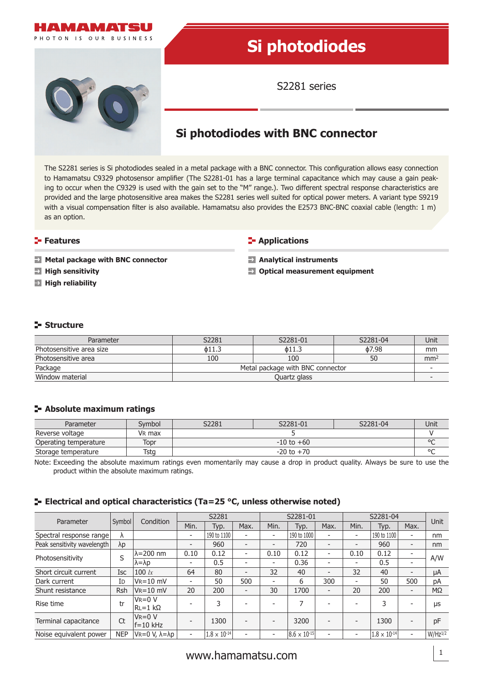

The S2281 series is Si photodiodes sealed in a metal package with a BNC connector. This configuration allows easy connection to Hamamatsu C9329 photosensor amplifier (The S2281-01 has a large terminal capacitance which may cause a gain peaking to occur when the C9329 is used with the gain set to the "M" range.). Two different spectral response characteristics are provided and the large photosensitive area makes the S2281 series well suited for optical power meters. A variant type S9219 with a visual compensation filter is also available. Hamamatsu also provides the E2573 BNC-BNC coaxial cable (length: 1 m) as an option.

## **Features**

**Metal package with BNC connector**

- **High sensitivity**
- **High reliability**

## **F** Applications

**Analytical instruments**

 $\blacksquare$  Optical measurement equipment

# **Structure**

| Parameter                | S2281                            | S2281-01 | S2281-04 | Unit            |  |  |
|--------------------------|----------------------------------|----------|----------|-----------------|--|--|
| Photosensitive area size | о11.3                            | о11.3    | ዕ7.98    | mm              |  |  |
| Photosensitive area      | 100<br>100                       |          | 50       | mm <sup>2</sup> |  |  |
| Package                  | Metal package with BNC connector |          |          |                 |  |  |
| Window material          | Quartz glass                     |          |          |                 |  |  |

## **Absolute maximum ratings**

| Parameter             | Svmbol             | S2281          | S2281-01 | S2281-04 | Unit |  |  |
|-----------------------|--------------------|----------------|----------|----------|------|--|--|
| Reverse voltage       | V <sub>R</sub> max |                |          |          |      |  |  |
| Operating temperature | Topr               | $-10$ to $+60$ |          |          |      |  |  |
| Storage temperature   | Tsta               | $-20$ to $+70$ |          |          |      |  |  |

Note: Exceeding the absolute maximum ratings even momentarily may cause a drop in product quality. Always be sure to use the product within the absolute maximum ratings.

## **ELECTRIEGE 25 °C, unless otherwise noted)**<br> **ELECTRIEGE 25 °C, unless otherwise noted**)

| Parameter                   | Symbol     | Condition                  | S2281                    |                       | S2281-01                 |                          |                       | S2281-04                 |                          |                       |                              |              |
|-----------------------------|------------|----------------------------|--------------------------|-----------------------|--------------------------|--------------------------|-----------------------|--------------------------|--------------------------|-----------------------|------------------------------|--------------|
|                             |            |                            | Min.                     | Typ.                  | Max.                     | Min.                     | Typ.                  | Max.                     | Min.                     | Typ.                  | Max.                         | <b>Unit</b>  |
| Spectral response range     | λ          |                            | -                        | 190 to 1100           | $\overline{\phantom{0}}$ | ٠                        | 190 to 1000           |                          | $\overline{\phantom{a}}$ | 190 to 1100           |                              | nm           |
| Peak sensitivity wavelength | λp         |                            | $\overline{\phantom{0}}$ | 960                   | $\overline{\phantom{0}}$ | $\overline{\phantom{0}}$ | 720                   | $\overline{\phantom{0}}$ | $\overline{\phantom{a}}$ | 960                   | $\qquad \qquad \blacksquare$ | nm           |
| Photosensitivity            | S          | $\lambda = 200$ nm         | 0.10                     | 0.12                  | $\overline{\phantom{a}}$ | 0.10                     | 0.12                  | $\overline{\phantom{0}}$ | 0.10                     | 0.12                  |                              |              |
|                             |            | $\lambda = \lambda p$      | -                        | 0.5                   | $\overline{\phantom{0}}$ |                          | 0.36                  |                          | $\overline{\phantom{0}}$ | 0.5                   |                              | A/W          |
| Short circuit current       | <b>Isc</b> | 100 $lx$                   | 64                       | 80                    | $\overline{\phantom{a}}$ | 32                       | 40                    | ۰                        | 32                       | 40                    |                              | μA           |
| Dark current                | ID         | $V_R = 10$ mV              | $\overline{\phantom{0}}$ | 50                    | 500                      | -                        | 6                     | 300                      | $\overline{\phantom{a}}$ | 50                    | 500                          | pA           |
| Shunt resistance            | Rsh        | $V_R = 10$ mV              | 20                       | 200                   | $\overline{\phantom{a}}$ | 30                       | 1700                  | $\overline{\phantom{0}}$ | 20                       | 200                   | $\qquad \qquad \blacksquare$ | $M\Omega$    |
| Rise time                   | tr         | lVr=0 V<br>$RL = 1$ kΩ     |                          | 3                     |                          |                          | 7                     |                          |                          | 3                     |                              | μs           |
| Terminal capacitance        | Ct         | $V_R = 0 V$<br>$ f=10$ kHz |                          | 1300                  | $\overline{\phantom{0}}$ |                          | 3200                  |                          |                          | 1300                  | $\qquad \qquad \blacksquare$ | pF           |
| Noise equivalent power      | <b>NEP</b> | lVr=0 V. λ=λp              | $\overline{\phantom{0}}$ | $1.8 \times 10^{-14}$ | $\overline{\phantom{0}}$ | $\overline{\phantom{0}}$ | $8.6 \times 10^{-15}$ |                          | ٠                        | $1.8 \times 10^{-14}$ | Ξ.                           | $W/Hz^{1/2}$ |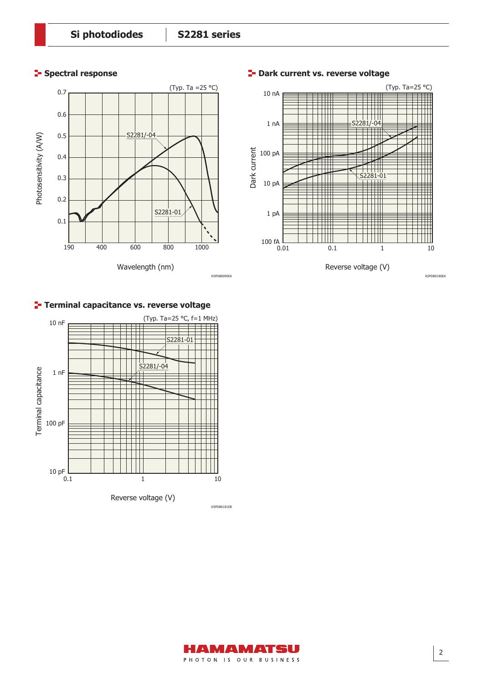## **Spectral response**





## **P** Dark current vs. reverse voltage

## **Terminal capacitance vs. reverse voltage**



MIA MIAT S I L PHOTON IS OUR BUSINESS